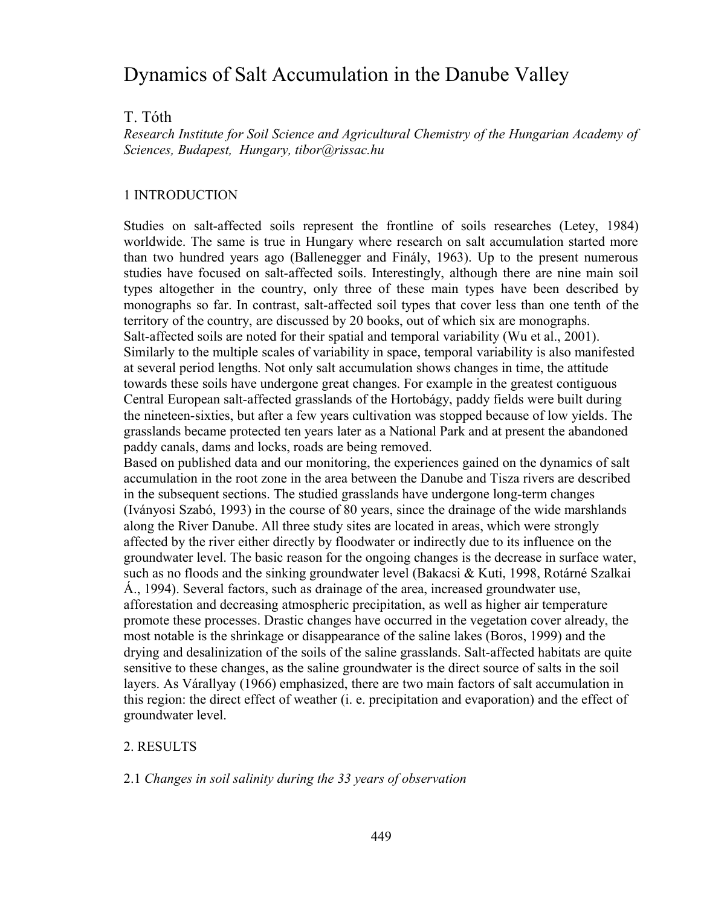# Dynamics of Salt Accumulation in the Danube Valley

## T. Tóth

*Research Institute for Soil Science and Agricultural Chemistry of the Hungarian Academy of Sciences, Budapest, Hungary, tibor@rissac.hu* 

### 1 INTRODUCTION

Studies on salt-affected soils represent the frontline of soils researches (Letey, 1984) worldwide. The same is true in Hungary where research on salt accumulation started more than two hundred years ago (Ballenegger and Finály, 1963). Up to the present numerous studies have focused on salt-affected soils. Interestingly, although there are nine main soil types altogether in the country, only three of these main types have been described by monographs so far. In contrast, salt-affected soil types that cover less than one tenth of the territory of the country, are discussed by 20 books, out of which six are monographs. Salt-affected soils are noted for their spatial and temporal variability (Wu et al., 2001). Similarly to the multiple scales of variability in space, temporal variability is also manifested at several period lengths. Not only salt accumulation shows changes in time, the attitude towards these soils have undergone great changes. For example in the greatest contiguous Central European salt-affected grasslands of the Hortobágy, paddy fields were built during the nineteen-sixties, but after a few years cultivation was stopped because of low yields. The grasslands became protected ten years later as a National Park and at present the abandoned paddy canals, dams and locks, roads are being removed.

Based on published data and our monitoring, the experiences gained on the dynamics of salt accumulation in the root zone in the area between the Danube and Tisza rivers are described in the subsequent sections. The studied grasslands have undergone long-term changes (Iványosi Szabó, 1993) in the course of 80 years, since the drainage of the wide marshlands along the River Danube. All three study sites are located in areas, which were strongly affected by the river either directly by floodwater or indirectly due to its influence on the groundwater level. The basic reason for the ongoing changes is the decrease in surface water, such as no floods and the sinking groundwater level (Bakacsi & Kuti, 1998, Rotárné Szalkai Á., 1994). Several factors, such as drainage of the area, increased groundwater use, afforestation and decreasing atmospheric precipitation, as well as higher air temperature promote these processes. Drastic changes have occurred in the vegetation cover already, the most notable is the shrinkage or disappearance of the saline lakes (Boros, 1999) and the drying and desalinization of the soils of the saline grasslands. Salt-affected habitats are quite sensitive to these changes, as the saline groundwater is the direct source of salts in the soil layers. As Várallyay (1966) emphasized, there are two main factors of salt accumulation in this region: the direct effect of weather (i. e. precipitation and evaporation) and the effect of groundwater level.

#### 2. RESULTS

#### 2.1 *Changes in soil salinity during the 33 years of observation*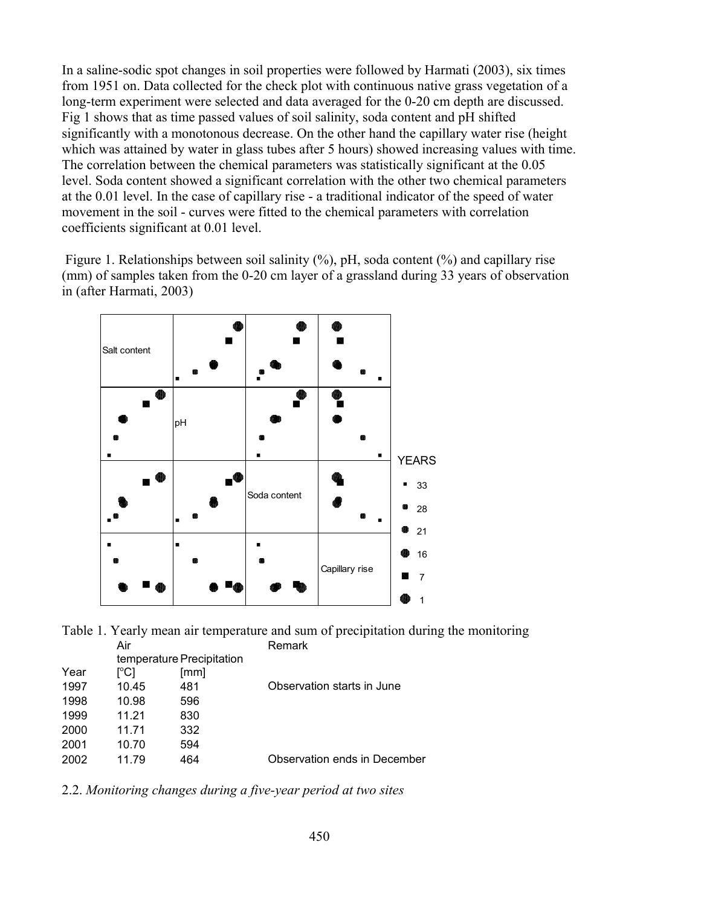In a saline-sodic spot changes in soil properties were followed by Harmati (2003), six times from 1951 on. Data collected for the check plot with continuous native grass vegetation of a long-term experiment were selected and data averaged for the 0-20 cm depth are discussed. Fig 1 shows that as time passed values of soil salinity, soda content and pH shifted significantly with a monotonous decrease. On the other hand the capillary water rise (height which was attained by water in glass tubes after 5 hours) showed increasing values with time. The correlation between the chemical parameters was statistically significant at the 0.05 level. Soda content showed a significant correlation with the other two chemical parameters at the 0.01 level. In the case of capillary rise - a traditional indicator of the speed of water movement in the soil - curves were fitted to the chemical parameters with correlation coefficients significant at 0.01 level.

Figure 1. Relationships between soil salinity  $(\%)$ , pH, soda content  $(\%)$  and capillary rise (mm) of samples taken from the 0-20 cm layer of a grassland during 33 years of observation in (after Harmati, 2003)





|      | temperature Precipitation |      |                              |
|------|---------------------------|------|------------------------------|
| Year | I°C1                      | [mm] |                              |
| 1997 | 10.45                     | 481  | Observation starts in June   |
| 1998 | 10.98                     | 596  |                              |
| 1999 | 11 21                     | 830  |                              |
| 2000 | 11.71                     | 332  |                              |
| 2001 | 10.70                     | 594  |                              |
| 2002 | 11 79                     | 464  | Observation ends in December |

2.2. *Monitoring changes during a five-year period at two sites*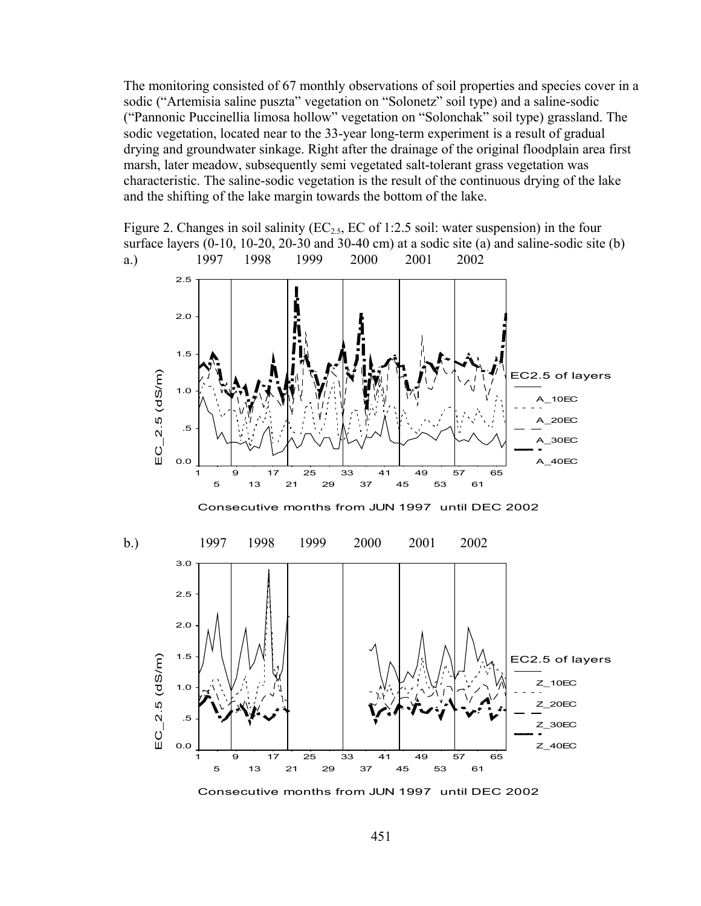The monitoring consisted of 67 monthly observations of soil properties and species cover in a sodic ("Artemisia saline puszta" vegetation on "Solonetz" soil type) and a saline-sodic ("Pannonic Puccinellia limosa hollow" vegetation on "Solonchak" soil type) grassland. The sodic vegetation, located near to the 33-year long-term experiment is a result of gradual drying and groundwater sinkage. Right after the drainage of the original floodplain area first marsh, later meadow, subsequently semi vegetated salt-tolerant grass vegetation was characteristic. The saline-sodic vegetation is the result of the continuous drying of the lake and the shifting of the lake margin towards the bottom of the lake.

Figure 2. Changes in soil salinity ( $EC_{2.5}$ ,  $EC$  of 1:2.5 soil: water suspension) in the four surface layers (0-10, 10-20, 20-30 and 30-40 cm) at a sodic site (a) and saline-sodic site (b) a.) 1997 1998 1999 2000 2001 2002





451